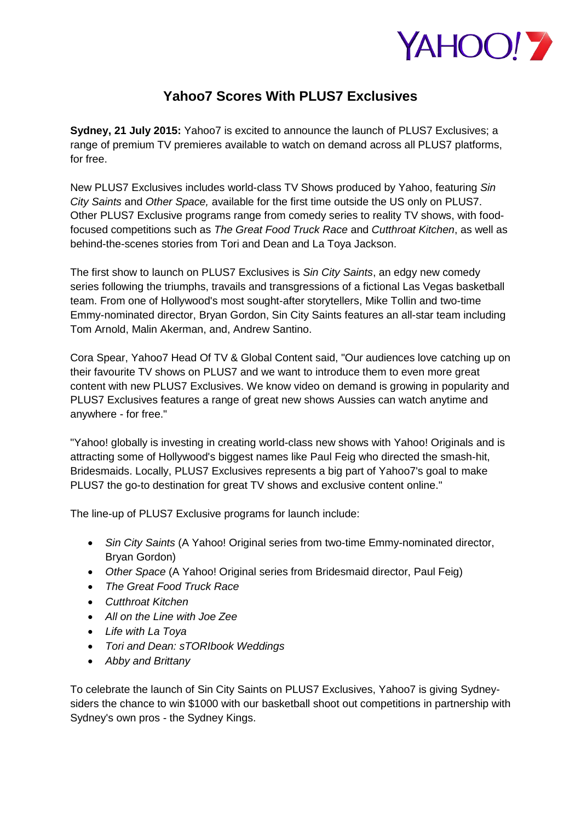

## **Yahoo7 Scores With PLUS7 Exclusives**

**Sydney, 21 July 2015:** Yahoo7 is excited to announce the launch of PLUS7 Exclusives; a range of premium TV premieres available to watch on demand across all PLUS7 platforms, for free.

New PLUS7 Exclusives includes world-class TV Shows produced by Yahoo, featuring *Sin City Saints* and *Other Space,* available for the first time outside the US only on PLUS7. Other PLUS7 Exclusive programs range from comedy series to reality TV shows, with foodfocused competitions such as *The Great Food Truck Race* and *Cutthroat Kitchen*, as well as behind-the-scenes stories from Tori and Dean and La Toya Jackson.

The first show to launch on PLUS7 Exclusives is *Sin City Saints*, an edgy new comedy series following the triumphs, travails and transgressions of a fictional Las Vegas basketball team. From one of Hollywood's most sought-after storytellers, Mike Tollin and two-time Emmy-nominated director, Bryan Gordon, Sin City Saints features an all-star team including Tom Arnold, Malin Akerman, and, Andrew Santino.

Cora Spear, Yahoo7 Head Of TV & Global Content said, "Our audiences love catching up on their favourite TV shows on PLUS7 and we want to introduce them to even more great content with new PLUS7 Exclusives. We know video on demand is growing in popularity and PLUS7 Exclusives features a range of great new shows Aussies can watch anytime and anywhere - for free."

"Yahoo! globally is investing in creating world-class new shows with Yahoo! Originals and is attracting some of Hollywood's biggest names like Paul Feig who directed the smash-hit, Bridesmaids. Locally, PLUS7 Exclusives represents a big part of Yahoo7's goal to make PLUS7 the go-to destination for great TV shows and exclusive content online."

The line-up of PLUS7 Exclusive programs for launch include:

- *Sin City Saints* (A Yahoo! Original series from two-time Emmy-nominated director, Bryan Gordon)
- *Other Space* (A Yahoo! Original series from Bridesmaid director, Paul Feig)
- *The Great Food Truck Race*
- *Cutthroat Kitchen*
- *All on the Line with Joe Zee*
- *Life with La Toya*
- *Tori and Dean: sTORIbook Weddings*
- *Abby and Brittany*

To celebrate the launch of Sin City Saints on PLUS7 Exclusives, Yahoo7 is giving Sydneysiders the chance to win \$1000 with our basketball shoot out competitions in partnership with Sydney's own pros - the Sydney Kings.